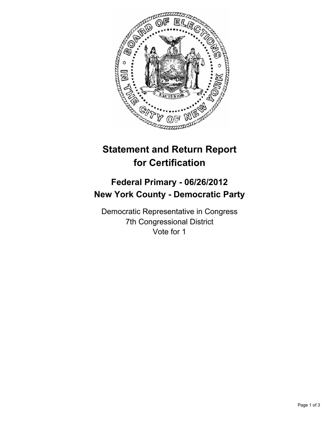

# **Statement and Return Report for Certification**

## **Federal Primary - 06/26/2012 New York County - Democratic Party**

Democratic Representative in Congress 7th Congressional District Vote for 1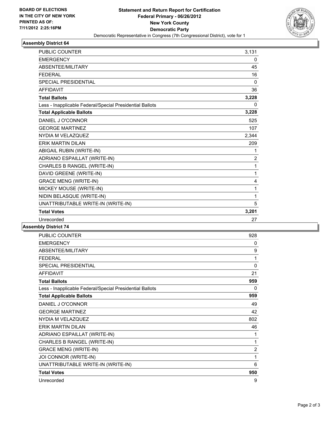

#### **Assembly District 64**

| <b>PUBLIC COUNTER</b>                                    | 3,131          |
|----------------------------------------------------------|----------------|
| <b>EMERGENCY</b>                                         | 0              |
| ABSENTEE/MILITARY                                        | 45             |
| <b>FEDERAL</b>                                           | 16             |
| <b>SPECIAL PRESIDENTIAL</b>                              | $\Omega$       |
| <b>AFFIDAVIT</b>                                         | 36             |
| <b>Total Ballots</b>                                     | 3,228          |
| Less - Inapplicable Federal/Special Presidential Ballots | 0              |
| <b>Total Applicable Ballots</b>                          | 3,228          |
| DANIEL J O'CONNOR                                        | 525            |
| <b>GEORGE MARTINEZ</b>                                   | 107            |
| NYDIA M VELAZQUEZ                                        | 2,344          |
| <b>ERIK MARTIN DILAN</b>                                 | 209            |
| ABIGAIL RUBIN (WRITE-IN)                                 | 1              |
| ADRIANO ESPAILLAT (WRITE-IN)                             | $\overline{2}$ |
| CHARLES B RANGEL (WRITE-IN)                              | 1              |
| DAVID GREENE (WRITE-IN)                                  | 1              |
| <b>GRACE MENG (WRITE-IN)</b>                             | 4              |
| MICKEY MOUSE (WRITE-IN)                                  | 1              |
| NIDIN BELASQUE (WRITE-IN)                                | 1              |
| UNATTRIBUTABLE WRITE-IN (WRITE-IN)                       | 5              |
| <b>Total Votes</b>                                       | 3,201          |
| Unrecorded                                               | 27             |

### **Assembly District 74**

| <b>PUBLIC COUNTER</b>                                    | 928            |
|----------------------------------------------------------|----------------|
| <b>EMERGENCY</b>                                         | 0              |
| ABSENTEE/MILITARY                                        | 9              |
| <b>FEDERAL</b>                                           | 1              |
| <b>SPECIAL PRESIDENTIAL</b>                              | 0              |
| <b>AFFIDAVIT</b>                                         | 21             |
| <b>Total Ballots</b>                                     | 959            |
| Less - Inapplicable Federal/Special Presidential Ballots | 0              |
| <b>Total Applicable Ballots</b>                          | 959            |
| DANIEL J O'CONNOR                                        | 49             |
| <b>GEORGE MARTINEZ</b>                                   | 42             |
| NYDIA M VELAZQUEZ                                        | 802            |
| <b>FRIK MARTIN DII AN</b>                                | 46             |
| ADRIANO ESPAILLAT (WRITE-IN)                             | 1              |
| CHARLES B RANGEL (WRITE-IN)                              | 1              |
| <b>GRACE MENG (WRITE-IN)</b>                             | $\overline{2}$ |
| JOI CONNOR (WRITE-IN)                                    | 1              |
| UNATTRIBUTABLE WRITE-IN (WRITE-IN)                       | 6              |
| <b>Total Votes</b>                                       | 950            |
| Unrecorded                                               | 9              |